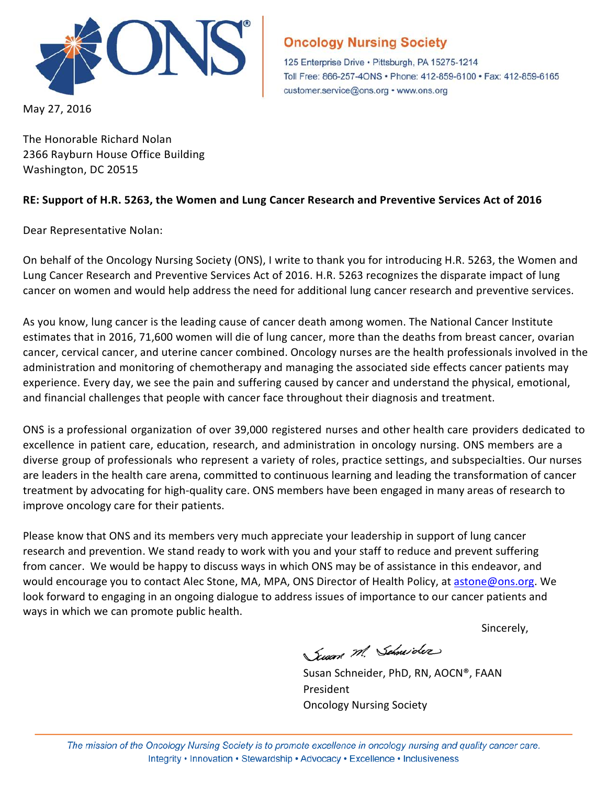

May 27, 2016

## **Oncology Nursing Society**

125 Enterprise Drive · Pittsburgh, PA 15275-1214 Toll Free: 866-257-4ONS · Phone: 412-859-6100 · Fax: 412-859-6165 customer.service@ons.org • www.ons.org

The Honorable Richard Nolan 2366 Rayburn House Office Building Washington, DC 20515

## **RE: Support of H.R. 5263, the Women and Lung Cancer Research and Preventive Services Act of 2016**

Dear Representative Nolan:

On behalf of the Oncology Nursing Society (ONS), I write to thank you for introducing H.R. 5263, the Women and Lung Cancer Research and Preventive Services Act of 2016. H.R. 5263 recognizes the disparate impact of lung cancer on women and would help address the need for additional lung cancer research and preventive services.

As you know, lung cancer is the leading cause of cancer death among women. The National Cancer Institute estimates that in 2016, 71,600 women will die of lung cancer, more than the deaths from breast cancer, ovarian cancer, cervical cancer, and uterine cancer combined. Oncology nurses are the health professionals involved in the administration and monitoring of chemotherapy and managing the associated side effects cancer patients may experience. Every day, we see the pain and suffering caused by cancer and understand the physical, emotional, and financial challenges that people with cancer face throughout their diagnosis and treatment.

ONS is a professional organization of over 39,000 registered nurses and other health care providers dedicated to excellence in patient care, education, research, and administration in oncology nursing. ONS members are a diverse group of professionals who represent a variety of roles, practice settings, and subspecialties. Our nurses are leaders in the health care arena, committed to continuous learning and leading the transformation of cancer treatment by advocating for high-quality care. ONS members have been engaged in many areas of research to improve oncology care for their patients.

Please know that ONS and its members very much appreciate your leadership in support of lung cancer research and prevention. We stand ready to work with you and your staff to reduce and prevent suffering from cancer. We would be happy to discuss ways in which ONS may be of assistance in this endeavor, and would encourage you to contact Alec Stone, MA, MPA, ONS Director of Health Policy, at [astone@ons.org.](mailto:astone@ons.org) We look forward to engaging in an ongoing dialogue to address issues of importance to our cancer patients and ways in which we can promote public health.

Sincerely,

Susan M. Schneider

Susan Schneider, PhD, RN, AOCN®, FAAN President Oncology Nursing Society